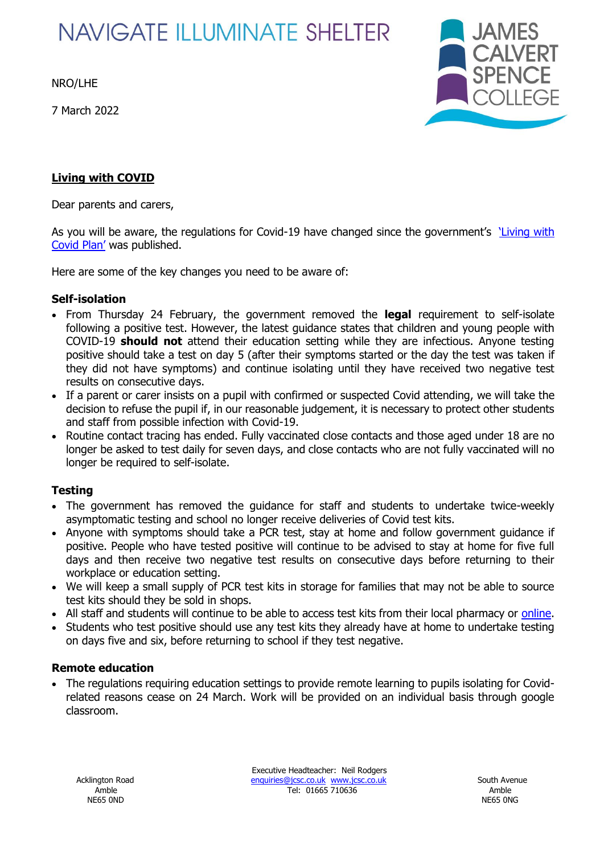# **NAVIGATE ILLUMINATE SHELTER**

NRO/LHE

7 March 2022



## **Living with COVID**

Dear parents and carers,

As you will be aware, the regulations for Covid-19 have changed since the government's living with [Covid Plan'](https://www.gov.uk/government/publications/covid-19-response-living-with-covid-19/covid-19-response-living-with-covid-19#legislation) was published.

Here are some of the key changes you need to be aware of:

### **Self-isolation**

- From Thursday 24 February, the government removed the **legal** requirement to self-isolate following a positive test. However, the latest guidance states that children and young people with COVID-19 **should not** attend their education setting while they are infectious. Anyone testing positive should take a test on day 5 (after their symptoms started or the day the test was taken if they did not have symptoms) and continue isolating until they have received two negative test results on consecutive days.
- If a parent or carer insists on a pupil with confirmed or suspected Covid attending, we will take the decision to refuse the pupil if, in our reasonable judgement, it is necessary to protect other students and staff from possible infection with Covid-19.
- Routine contact tracing has ended. Fully vaccinated close contacts and those aged under 18 are no longer be asked to test daily for seven days, and close contacts who are not fully vaccinated will no longer be required to self-isolate.

### **Testing**

- The government has removed the guidance for staff and students to undertake twice-weekly asymptomatic testing and school no longer receive deliveries of Covid test kits.
- Anyone with symptoms should take a PCR test, stay at home and follow government guidance if positive. People who have tested positive will continue to be advised to stay at home for five full days and then receive two negative test results on consecutive days before returning to their workplace or education setting.
- We will keep a small supply of PCR test kits in storage for families that may not be able to source test kits should they be sold in shops.
- All staff and students will continue to be able to access test kits from their local pharmacy or [online.](https://www.google.com/url?q=https://www.gov.uk/order-coronavirus-rapid-lateral-flow-tests?utm_source%3D21%2520February%25202022%2520C19%26utm_medium%3DDaily%2520Email%2520C19%26utm_campaign%3DDfE%2520C19&sa=D&source=editors&ust=1646336962309823&usg=AOvVaw0uRZ30sjplg-gee6nDb3aH)
- Students who test positive should use any test kits they already have at home to undertake testing on days five and six, before returning to school if they test negative.

### **Remote education**

• The regulations requiring education settings to provide remote learning to pupils isolating for Covidrelated reasons cease on 24 March. Work will be provided on an individual basis through google classroom.